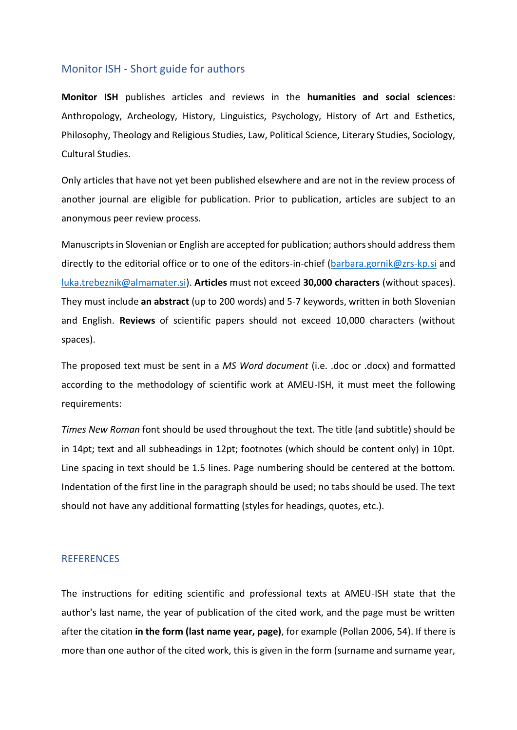# Monitor ISH - Short guide for authors

**Monitor ISH** publishes articles and reviews in the **humanities and social sciences**: Anthropology, Archeology, History, Linguistics, Psychology, History of Art and Esthetics, Philosophy, Theology and Religious Studies, Law, Political Science, Literary Studies, Sociology, Cultural Studies.

Only articles that have not yet been published elsewhere and are not in the review process of another journal are eligible for publication. Prior to publication, articles are subject to an anonymous peer review process.

Manuscripts in Slovenian or English are accepted for publication; authors should address them directly to the editorial office or to one of the editors-in-chief [\(barbara.gornik@zrs-kp.si](mailto:barbara.gornik@zrs-kp.si) and [luka.trebeznik@almamater.si\)](mailto:luka.trebeznik@almamater.si). **Articles** must not exceed **30,000 characters** (without spaces). They must include **an abstract** (up to 200 words) and 5-7 keywords, written in both Slovenian and English. **Reviews** of scientific papers should not exceed 10,000 characters (without spaces).

The proposed text must be sent in a *MS Word document* (i.e. .doc or .docx) and formatted according to the methodology of scientific work at AMEU-ISH, it must meet the following requirements:

*Times New Roman* font should be used throughout the text. The title (and subtitle) should be in 14pt; text and all subheadings in 12pt; footnotes (which should be content only) in 10pt. Line spacing in text should be 1.5 lines. Page numbering should be centered at the bottom. Indentation of the first line in the paragraph should be used; no tabs should be used. The text should not have any additional formatting (styles for headings, quotes, etc.).

# **REFERENCES**

The instructions for editing scientific and professional texts at AMEU-ISH state that the author's last name, the year of publication of the cited work, and the page must be written after the citation **in the form (last name year, page)**, for example (Pollan 2006, 54). If there is more than one author of the cited work, this is given in the form (surname and surname year,